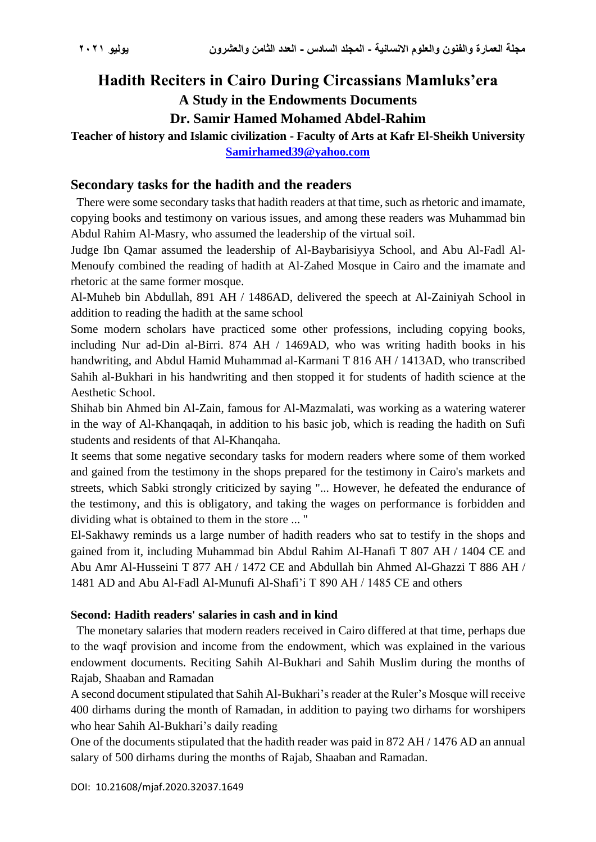# **Hadith Reciters in Cairo During Circassians Mamluks'era A Study in the Endowments Documents**

**Dr. Samir Hamed Mohamed Abdel-Rahim**

**Teacher of history and Islamic civilization - Faculty of Arts at Kafr El-Sheikh University [Samirhamed39@yahoo.com](mailto:Samirhamed39@yahoo.com)**

#### **Secondary tasks for the hadith and the readers**

 There were some secondary tasks that hadith readers at that time, such as rhetoric and imamate, copying books and testimony on various issues, and among these readers was Muhammad bin Abdul Rahim Al-Masry, who assumed the leadership of the virtual soil.

Judge Ibn Qamar assumed the leadership of Al-Baybarisiyya School, and Abu Al-Fadl Al-Menoufy combined the reading of hadith at Al-Zahed Mosque in Cairo and the imamate and rhetoric at the same former mosque.

Al-Muheb bin Abdullah, 891 AH / 1486AD, delivered the speech at Al-Zainiyah School in addition to reading the hadith at the same school

Some modern scholars have practiced some other professions, including copying books, including Nur ad-Din al-Birri. 874 AH / 1469AD, who was writing hadith books in his handwriting, and Abdul Hamid Muhammad al-Karmani T 816 AH / 1413AD, who transcribed Sahih al-Bukhari in his handwriting and then stopped it for students of hadith science at the Aesthetic School.

Shihab bin Ahmed bin Al-Zain, famous for Al-Mazmalati, was working as a watering waterer in the way of Al-Khanqaqah, in addition to his basic job, which is reading the hadith on Sufi students and residents of that Al-Khanqaha.

It seems that some negative secondary tasks for modern readers where some of them worked and gained from the testimony in the shops prepared for the testimony in Cairo's markets and streets, which Sabki strongly criticized by saying "... However, he defeated the endurance of the testimony, and this is obligatory, and taking the wages on performance is forbidden and dividing what is obtained to them in the store ... "

El-Sakhawy reminds us a large number of hadith readers who sat to testify in the shops and gained from it, including Muhammad bin Abdul Rahim Al-Hanafi T 807 AH / 1404 CE and Abu Amr Al-Husseini T 877 AH / 1472 CE and Abdullah bin Ahmed Al-Ghazzi T 886 AH / 1481 AD and Abu Al-Fadl Al-Munufi Al-Shafi'i T 890 AH / 1485 CE and others

#### **Second: Hadith readers' salaries in cash and in kind**

 The monetary salaries that modern readers received in Cairo differed at that time, perhaps due to the waqf provision and income from the endowment, which was explained in the various endowment documents. Reciting Sahih Al-Bukhari and Sahih Muslim during the months of Rajab, Shaaban and Ramadan

A second document stipulated that Sahih Al-Bukhari's reader at the Ruler's Mosque will receive 400 dirhams during the month of Ramadan, in addition to paying two dirhams for worshipers who hear Sahih Al-Bukhari's daily reading

One of the documents stipulated that the hadith reader was paid in 872 AH / 1476 AD an annual salary of 500 dirhams during the months of Rajab, Shaaban and Ramadan.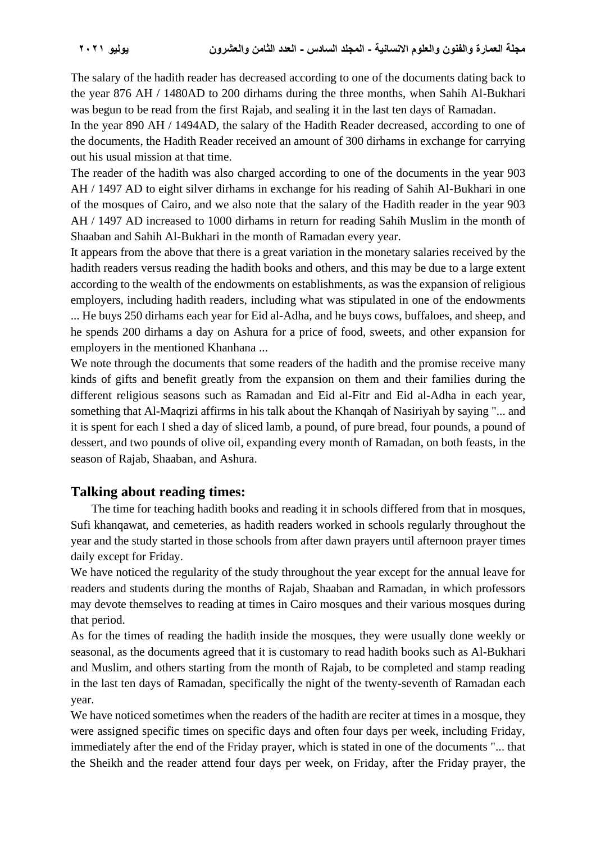The salary of the hadith reader has decreased according to one of the documents dating back to the year 876 AH / 1480AD to 200 dirhams during the three months, when Sahih Al-Bukhari was begun to be read from the first Rajab, and sealing it in the last ten days of Ramadan.

In the year 890 AH / 1494AD, the salary of the Hadith Reader decreased, according to one of the documents, the Hadith Reader received an amount of 300 dirhams in exchange for carrying out his usual mission at that time.

The reader of the hadith was also charged according to one of the documents in the year 903 AH / 1497 AD to eight silver dirhams in exchange for his reading of Sahih Al-Bukhari in one of the mosques of Cairo, and we also note that the salary of the Hadith reader in the year 903 AH / 1497 AD increased to 1000 dirhams in return for reading Sahih Muslim in the month of Shaaban and Sahih Al-Bukhari in the month of Ramadan every year.

It appears from the above that there is a great variation in the monetary salaries received by the hadith readers versus reading the hadith books and others, and this may be due to a large extent according to the wealth of the endowments on establishments, as was the expansion of religious employers, including hadith readers, including what was stipulated in one of the endowments ... He buys 250 dirhams each year for Eid al-Adha, and he buys cows, buffaloes, and sheep, and he spends 200 dirhams a day on Ashura for a price of food, sweets, and other expansion for employers in the mentioned Khanhana ...

We note through the documents that some readers of the hadith and the promise receive many kinds of gifts and benefit greatly from the expansion on them and their families during the different religious seasons such as Ramadan and Eid al-Fitr and Eid al-Adha in each year, something that Al-Maqrizi affirms in his talk about the Khanqah of Nasiriyah by saying "... and it is spent for each I shed a day of sliced lamb, a pound, of pure bread, four pounds, a pound of dessert, and two pounds of olive oil, expanding every month of Ramadan, on both feasts, in the season of Rajab, Shaaban, and Ashura.

#### **Talking about reading times:**

 The time for teaching hadith books and reading it in schools differed from that in mosques, Sufi khanqawat, and cemeteries, as hadith readers worked in schools regularly throughout the year and the study started in those schools from after dawn prayers until afternoon prayer times daily except for Friday.

We have noticed the regularity of the study throughout the year except for the annual leave for readers and students during the months of Rajab, Shaaban and Ramadan, in which professors may devote themselves to reading at times in Cairo mosques and their various mosques during that period.

As for the times of reading the hadith inside the mosques, they were usually done weekly or seasonal, as the documents agreed that it is customary to read hadith books such as Al-Bukhari and Muslim, and others starting from the month of Rajab, to be completed and stamp reading in the last ten days of Ramadan, specifically the night of the twenty-seventh of Ramadan each year.

We have noticed sometimes when the readers of the hadith are reciter at times in a mosque, they were assigned specific times on specific days and often four days per week, including Friday, immediately after the end of the Friday prayer, which is stated in one of the documents "... that the Sheikh and the reader attend four days per week, on Friday, after the Friday prayer, the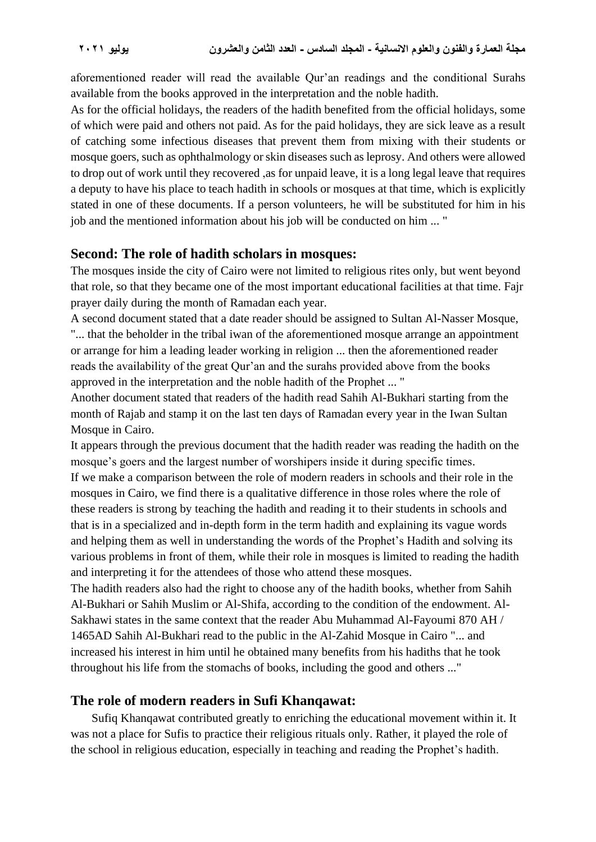aforementioned reader will read the available Qur'an readings and the conditional Surahs available from the books approved in the interpretation and the noble hadith.

As for the official holidays, the readers of the hadith benefited from the official holidays, some of which were paid and others not paid. As for the paid holidays, they are sick leave as a result of catching some infectious diseases that prevent them from mixing with their students or mosque goers, such as ophthalmology or skin diseases such as leprosy. And others were allowed to drop out of work until they recovered ,as for unpaid leave, it is a long legal leave that requires a deputy to have his place to teach hadith in schools or mosques at that time, which is explicitly stated in one of these documents. If a person volunteers, he will be substituted for him in his job and the mentioned information about his job will be conducted on him ... "

#### **Second: The role of hadith scholars in mosques:**

The mosques inside the city of Cairo were not limited to religious rites only, but went beyond that role, so that they became one of the most important educational facilities at that time. Fajr prayer daily during the month of Ramadan each year.

A second document stated that a date reader should be assigned to Sultan Al-Nasser Mosque, "... that the beholder in the tribal iwan of the aforementioned mosque arrange an appointment or arrange for him a leading leader working in religion ... then the aforementioned reader reads the availability of the great Qur'an and the surahs provided above from the books approved in the interpretation and the noble hadith of the Prophet ... "

Another document stated that readers of the hadith read Sahih Al-Bukhari starting from the month of Rajab and stamp it on the last ten days of Ramadan every year in the Iwan Sultan Mosque in Cairo.

It appears through the previous document that the hadith reader was reading the hadith on the mosque's goers and the largest number of worshipers inside it during specific times. If we make a comparison between the role of modern readers in schools and their role in the mosques in Cairo, we find there is a qualitative difference in those roles where the role of these readers is strong by teaching the hadith and reading it to their students in schools and that is in a specialized and in-depth form in the term hadith and explaining its vague words and helping them as well in understanding the words of the Prophet's Hadith and solving its various problems in front of them, while their role in mosques is limited to reading the hadith and interpreting it for the attendees of those who attend these mosques.

The hadith readers also had the right to choose any of the hadith books, whether from Sahih Al-Bukhari or Sahih Muslim or Al-Shifa, according to the condition of the endowment. Al-Sakhawi states in the same context that the reader Abu Muhammad Al-Fayoumi 870 AH / 1465AD Sahih Al-Bukhari read to the public in the Al-Zahid Mosque in Cairo "... and increased his interest in him until he obtained many benefits from his hadiths that he took throughout his life from the stomachs of books, including the good and others ..."

### **The role of modern readers in Sufi Khanqawat:**

 Sufiq Khanqawat contributed greatly to enriching the educational movement within it. It was not a place for Sufis to practice their religious rituals only. Rather, it played the role of the school in religious education, especially in teaching and reading the Prophet's hadith.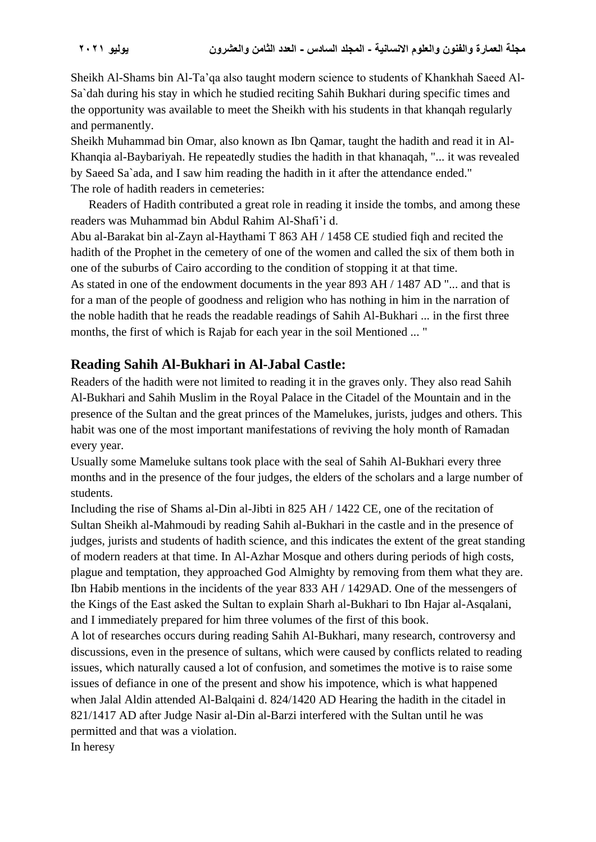Sheikh Al-Shams bin Al-Ta'qa also taught modern science to students of Khankhah Saeed Al-Sa`dah during his stay in which he studied reciting Sahih Bukhari during specific times and the opportunity was available to meet the Sheikh with his students in that khanqah regularly and permanently.

Sheikh Muhammad bin Omar, also known as Ibn Qamar, taught the hadith and read it in Al-Khanqia al-Baybariyah. He repeatedly studies the hadith in that khanaqah, "... it was revealed by Saeed Sa`ada, and I saw him reading the hadith in it after the attendance ended." The role of hadith readers in cemeteries:

 Readers of Hadith contributed a great role in reading it inside the tombs, and among these readers was Muhammad bin Abdul Rahim Al-Shafi'i d.

Abu al-Barakat bin al-Zayn al-Haythami T 863 AH / 1458 CE studied fiqh and recited the hadith of the Prophet in the cemetery of one of the women and called the six of them both in one of the suburbs of Cairo according to the condition of stopping it at that time.

As stated in one of the endowment documents in the year 893 AH / 1487 AD "... and that is for a man of the people of goodness and religion who has nothing in him in the narration of the noble hadith that he reads the readable readings of Sahih Al-Bukhari ... in the first three months, the first of which is Rajab for each year in the soil Mentioned ... "

#### **Reading Sahih Al-Bukhari in Al-Jabal Castle:**

Readers of the hadith were not limited to reading it in the graves only. They also read Sahih Al-Bukhari and Sahih Muslim in the Royal Palace in the Citadel of the Mountain and in the presence of the Sultan and the great princes of the Mamelukes, jurists, judges and others. This habit was one of the most important manifestations of reviving the holy month of Ramadan every year.

Usually some Mameluke sultans took place with the seal of Sahih Al-Bukhari every three months and in the presence of the four judges, the elders of the scholars and a large number of students.

Including the rise of Shams al-Din al-Jibti in 825 AH / 1422 CE, one of the recitation of Sultan Sheikh al-Mahmoudi by reading Sahih al-Bukhari in the castle and in the presence of judges, jurists and students of hadith science, and this indicates the extent of the great standing of modern readers at that time. In Al-Azhar Mosque and others during periods of high costs, plague and temptation, they approached God Almighty by removing from them what they are. Ibn Habib mentions in the incidents of the year 833 AH / 1429AD. One of the messengers of the Kings of the East asked the Sultan to explain Sharh al-Bukhari to Ibn Hajar al-Asqalani, and I immediately prepared for him three volumes of the first of this book.

A lot of researches occurs during reading Sahih Al-Bukhari, many research, controversy and discussions, even in the presence of sultans, which were caused by conflicts related to reading issues, which naturally caused a lot of confusion, and sometimes the motive is to raise some issues of defiance in one of the present and show his impotence, which is what happened when Jalal Aldin attended Al-Balqaini d. 824/1420 AD Hearing the hadith in the citadel in 821/1417 AD after Judge Nasir al-Din al-Barzi interfered with the Sultan until he was permitted and that was a violation.

In heresy